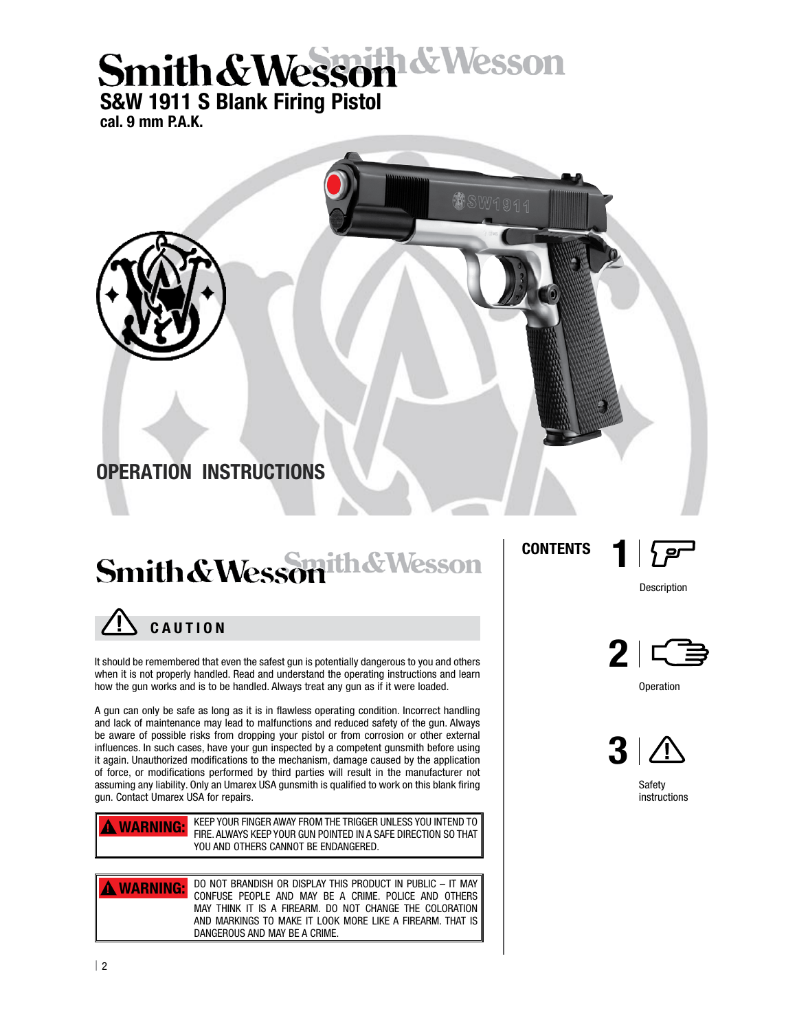# **Smith & Wesson & Wesson**

cal. 9 mm P.A.K.



### Smith & Wesson th & Wesson



It should be remembered that even the safest gun is potentially dangerous to you and others when it is not properly handled. Read and understand the operating instructions and learn how the gun works and is to be handled. Always treat any gun as if it were loaded.

A gun can only be safe as long as it is in flawless operating condition. Incorrect handling and lack of maintenance may lead to malfunctions and reduced safety of the gun. Always be aware of possible risks from dropping your pistol or from corrosion or other external influences. In such cases, have your gun inspected by a competent gunsmith before using it again. Unauthorized modifications to the mechanism, damage caused by the application of force, or modifications performed by third parties will result in the manufacturer not assuming any liability. Only an Umarex USA gunsmith is qualified to work on this blank firing gun. Contact Umarex USA for repairs.

KEEP YOUR FINGER AWAY FROM THE TRIGGER UNLESS YOU INTEND TO FIRE. ALWAYS KEEP YOUR GUN POINTED IN A SAFE DIRECTION SO THAT YOU AND OTHERS CANNOT BE ENDANGERED. **A WARNING:** 

DO NOT BRANDISH OR DISPLAY THIS PRODUCT IN PUBLIC – IT MAY CONFUSE PEOPLE AND MAY BE A CRIME. POLICE AND OTHERS MAY THINK IT IS A FIREARM. DO NOT CHANGE THE COLORATION AND MARKINGS TO MAKE IT LOOK MORE LIKE A FIREARM. THAT IS DANGEROUS AND MAY BE A CRIME. **A WARNING:** 

**CONTENTS** 



1

Description



**Operation** 



**Safety** instructions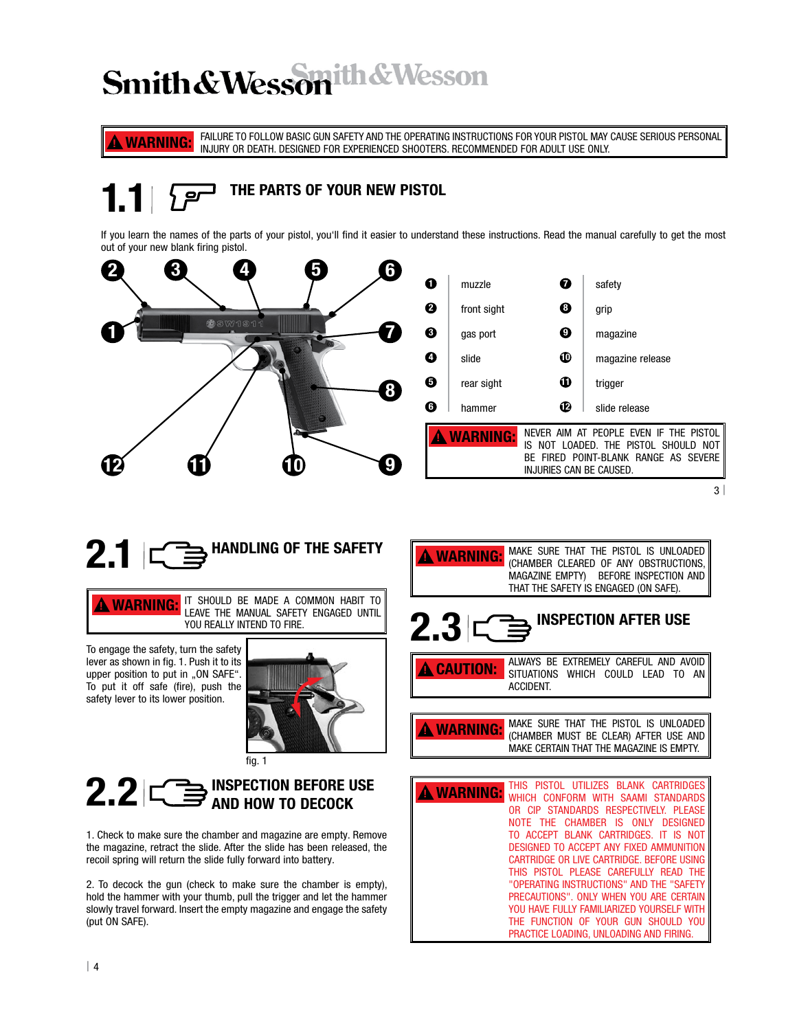### Smith & Wesson th & Wesson

FAILURE TO FOLLOW BASIC GUN SAFETY AND THE OPERATING INSTRUCTIONS FOR YOUR PISTOL MAY CAUSE SERIOUS PERSONAL **A WARNING:** FAILURE TO FOLLOW BASIG GUN SAFETY AND THE OPERATING INSTRUGTIONS FOR YOUR PISTOL MAY OR DEATH. DESIGNED FOR EXPERIENCED SHOOTERS. RECOMMENDED FOR ADULT USE ONLY.

THE PARTS OF YOUR NEW PISTOL

If you learn the names of the parts of your pistol, you'll find it easier to understand these instructions. Read the manual carefully to get the most out of your new blank firing pistol.

| 3              | 5 | 6                          |                 |                         |                                                                                |
|----------------|---|----------------------------|-----------------|-------------------------|--------------------------------------------------------------------------------|
|                |   | $\mathbf 0$                | muzzle          | $\boldsymbol{0}$        | safety                                                                         |
|                |   | ❷                          | front sight     | $\boldsymbol{\Theta}$   | grip                                                                           |
| <b>OSW1911</b> |   | ❸                          | gas port        | $\boldsymbol{\Theta}$   | magazine                                                                       |
|                |   | $\bf o$                    | slide           | ⊕                       | magazine release                                                               |
|                |   | $\boldsymbol{\Theta}$<br>8 | rear sight      | $\bf \Phi$              | trigger                                                                        |
|                |   | $\boldsymbol{\Theta}$      | hammer          | ℗                       | slide release                                                                  |
|                |   |                            | <b>VARNING:</b> |                         | NEVER AIM AT PEOPLE EVEN IF THE PISTOL<br>IS NOT LOADED. THE PISTOL SHOULD NOT |
|                |   |                            |                 | INJURIES CAN BE CAUSED. | BE FIRED POINT-BLANK RANGE AS SEVERE                                           |
|                |   |                            |                 |                         |                                                                                |

 $3<sup>1</sup>$ 

# $2.1 \subset \Rightarrow$  HANDLING OF THE SAFETY

IT SHOULD BE MADE A COMMON HABIT TO LEAVE THE MANUAL SAFETY ENGAGED UNTIL YOU REALLY INTEND TO FIRE. **A WARNING:** 

To engage the safety, turn the safety lever as shown in fig. 1. Push it to its upper position to put in "ON SAFE". To put it off safe (fire), push the safety lever to its lower position.



### INSPECTION BEFORE USE  $2.2 \simeq$   $\mathbb{C}$  inspection before use and  $\mathbb{C}$

1. Check to make sure the chamber and magazine are empty. Remove the magazine, retract the slide. After the slide has been released, the recoil spring will return the slide fully forward into battery.

2. To decock the gun (check to make sure the chamber is empty), hold the hammer with your thumb, pull the trigger and let the hammer slowly travel forward. Insert the empty magazine and engage the safety (put ON SAFE).

| <b>A WARNING:</b> MAKE SURE THAT THE PISTOL IS UNLOADED (CHAMBER CLEARED OF ANY OBSTRUCTIONS, |
|-----------------------------------------------------------------------------------------------|
| MAGAZINE EMPTY) BEFORE INSPECTION AND<br>THAT THE SAFETY IS ENGAGED (ON SAFE).                |
|                                                                                               |

### $2.3$   $\subset \Rightarrow$  INSPECTION AFTER USE

ALWAYS BE EXTREMELY CAREFUL AND AVOID SITUATIONS WHICH COULD LEAD TO AN ACCIDENT. ! CAUTION:

MAKE SURE THAT THE PISTOL IS UNLOADED (CHAMBER MUST BE CLEAR) AFTER USE AND MAKE CERTAIN THAT THE MAGAZINE IS EMPTY. ! WARNING:

| <b>WARNING:</b> | THIS PISTOL UTILIZES BLANK CARTRIDGES<br>WHICH CONFORM WITH SAAMI STANDARDS |
|-----------------|-----------------------------------------------------------------------------|
|                 | OR CIP STANDARDS RESPECTIVELY. PLEASE                                       |
|                 | NOTE THE CHAMBER IS ONLY DESIGNED                                           |
|                 | TO ACCEPT BLANK CARTRIDGES. IT IS NOT                                       |
|                 | DESIGNED TO ACCEPT ANY FIXED AMMUNITION                                     |
|                 | CARTRIDGE OR LIVE CARTRIDGE. BEFORE USING I                                 |
|                 | THIS PISTOL PLEASE CAREFULLY READ THE                                       |
|                 | "OPERATING INSTRUCTIONS" AND THE "SAFETY                                    |
|                 | PRECAUTIONS", ONLY WHEN YOU ARE CERTAIN                                     |
|                 | YOU HAVE FULLY FAMILIARIZED YOURSELF WITH                                   |
|                 | THE FUNCTION OF YOUR GUN SHOULD YOU                                         |
|                 | PRACTICE LOADING, UNLOADING AND FIRING.                                     |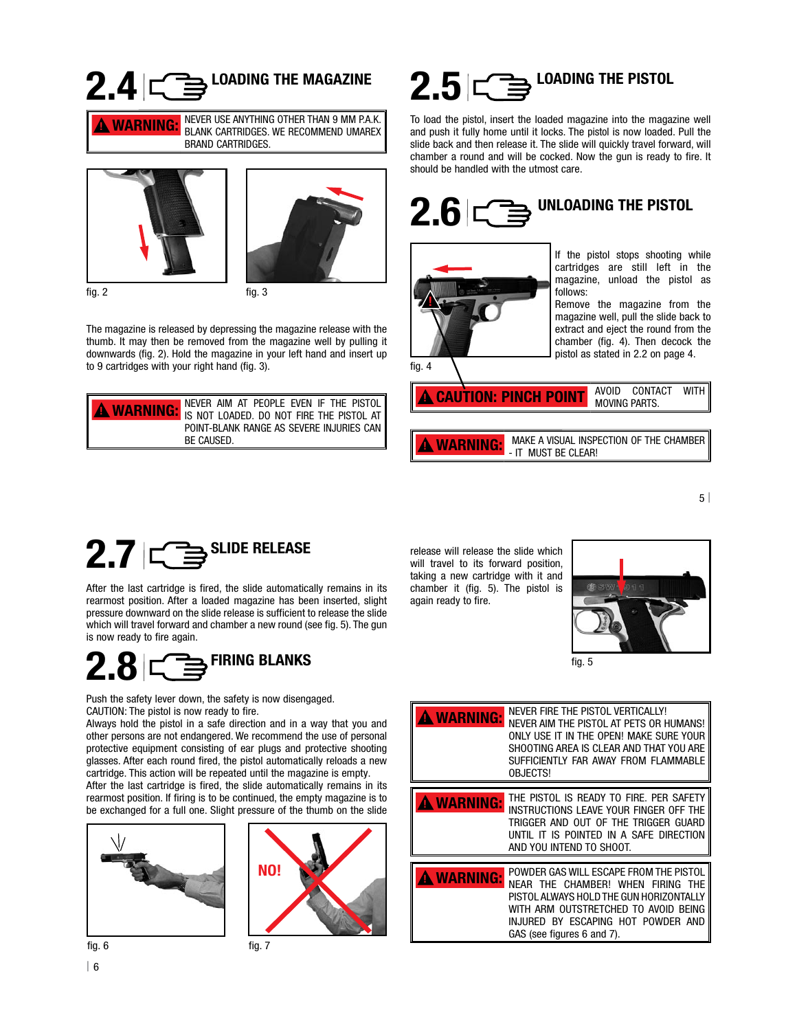# $2.4$   $\subset \Rightarrow$  <sup>LOADING</sup> THE MAGAZINE







The magazine is released by depressing the magazine release with the thumb. It may then be removed from the magazine well by pulling it downwards (fig. 2). Hold the magazine in your left hand and insert up to 9 cartridges with your right hand (fig. 3).

| $\parallel$ never aim at people even if the pistol $\parallel$<br><b>A WARNING:</b> IS NOT LOADED. DO NOT FIRE THE PISTOL AT |
|------------------------------------------------------------------------------------------------------------------------------|
| POINT-BLANK RANGE AS SEVERE INJURIES CAN<br>BE CAUSED.                                                                       |

### $2.5$   $\subset \Rightarrow$  LOADING THE PISTOL

To load the pistol, insert the loaded magazine into the magazine well and push it fully home until it locks. The pistol is now loaded. Pull the slide back and then release it. The slide will quickly travel forward, will chamber a round and will be cocked. Now the gun is ready to fire. It should be handled with the utmost care.





If the pistol stops shooting while cartridges are still left in the magazine, unload the pistol as follows:

Remove the magazine from the magazine well, pull the slide back to extract and eject the round from the chamber (fig. 4). Then decock the pistol as stated in 2.2 on page 4.

AVOID CONTACT WITH **CAUTION: PINCH POINT** AVUID CONTR

 MAKE A VISUAL INSPECTION OF THE CHAMBER **WARNING:** MAKE A VISUAL INSPI

5 |

# $2.7$   $\subset \mathbb{B}$ <sup>SLIDE RELEASE</sup>

After the last cartridge is fired, the slide automatically remains in its rearmost position. After a loaded magazine has been inserted, slight pressure downward on the slide release is sufficient to release the slide which will travel forward and chamber a new round (see fig. 5). The gun is now ready to fire again.



Push the safety lever down, the safety is now disengaged. CAUTION: The pistol is now ready to fire.

Always hold the pistol in a safe direction and in a way that you and other persons are not endangered. We recommend the use of personal protective equipment consisting of ear plugs and protective shooting glasses. After each round fired, the pistol automatically reloads a new cartridge. This action will be repeated until the magazine is empty.

After the last cartridge is fired, the slide automatically remains in its rearmost position. If firing is to be continued, the empty magazine is to be exchanged for a full one. Slight pressure of the thumb on the slide

fig. 7





| 6



will travel to its forward position, taking a new cartridge with it and chamber it (fig. 5). The pistol is again ready to fire.

release will release the slide which



fig. 5

| <b>WARNING:</b>   | NEVER FIRE THE PISTOL VERTICALLY!<br>NEVER AIM THE PISTOL AT PETS OR HUMANS!<br>ONLY USE IT IN THE OPEN! MAKE SURE YOUR<br>SHOOTING AREA IS CLEAR AND THAT YOU ARE<br>SUFFICIENTLY FAR AWAY FROM FLAMMABLE<br><b>OBJECTS!</b>      |
|-------------------|------------------------------------------------------------------------------------------------------------------------------------------------------------------------------------------------------------------------------------|
| <b>A WARNING:</b> | THE PISTOL IS READY TO FIRE. PER SAFETY<br>INSTRUCTIONS LEAVE YOUR FINGER OFF THE<br>TRIGGER AND OUT OF THE TRIGGER GUARD<br>UNTIL IT IS POINTED IN A SAFE DIRECTION<br>AND YOU INTEND TO SHOOT.                                   |
| <b>WARNING:</b>   | POWDER GAS WILL ESCAPE FROM THE PISTOL<br>NEAR THE CHAMBER! WHEN FIRING THE<br>PISTOL ALWAYS HOLD THE GUN HORIZONTALLY<br>WITH ARM OUTSTRETCHED TO AVOID BEING<br>INJURED BY ESCAPING HOT POWDER AND<br>GAS (see figures 6 and 7). |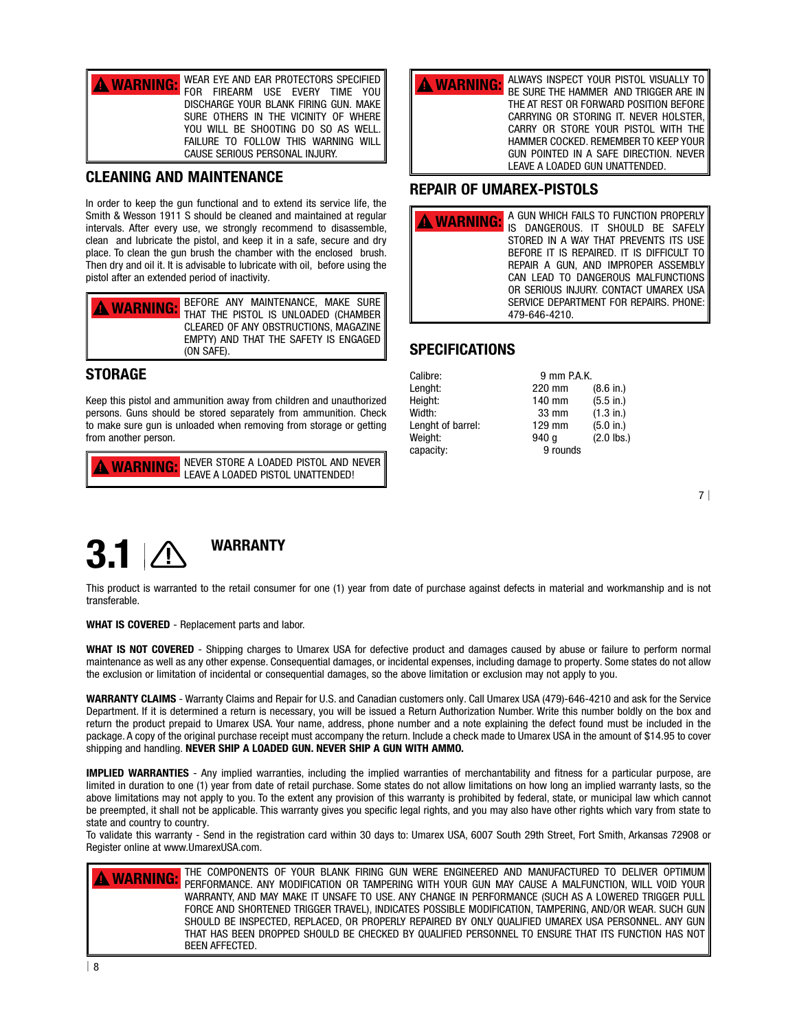| <b>A WARNING:</b> WEAR EYE AND EAR PROTECTORS SPECIFIED |
|---------------------------------------------------------|
| FOR FIREARM USE EVERY TIME YOU                          |
| DISCHARGE YOUR BLANK FIRING GUN. MAKE                   |
| SURE OTHERS IN THE VICINITY OF WHERE                    |
| YOU WILL BE SHOOTING DO SO AS WELL.                     |
| FAILURE TO FOLLOW THIS WARNING WILL                     |
| CAUSE SERIOUS PERSONAL INJURY.                          |

#### CLEANING AND MAINTENANCE

In order to keep the gun functional and to extend its service life, the Smith & Wesson 1911 S should be cleaned and maintained at regular intervals. After every use, we strongly recommend to disassemble, clean and lubricate the pistol, and keep it in a safe, secure and dry place. To clean the gun brush the chamber with the enclosed brush. Then dry and oil it. It is advisable to lubricate with oil, before using the pistol after an extended period of inactivity.

| <b>A WARNING:</b> BEFORE ANY MAINTENANCE, MAKE SURE |
|-----------------------------------------------------|
| CLEARED OF ANY OBSTRUCTIONS, MAGAZINE               |
| EMPTY) AND THAT THE SAFETY IS ENGAGED               |
| (ON SAFE).                                          |

#### **STORAGE**

Keep this pistol and ammunition away from children and unauthorized persons. Guns should be stored separately from ammunition. Check to make sure gun is unloaded when removing from storage or getting from another person.

NEVER STORE A LOADED PISTOL AND NEVER **WARNING:** NEVER STORE A LOADED PISTOL AND NEVERTHENDED!



#### REPAIR OF UMAREX-PISTOLS

| A GUN WHICH FAILS TO FUNCTION PROPERLY<br>WARNING: A GUN WEIGHT INLU TO LOCALE OF SAFELY<br>STORED IN A WAY THAT PREVENTS ITS USE<br>BEFORE IT IS REPAIRED. IT IS DIFFICULT TO<br>REPAIR A GUN. AND IMPROPER ASSEMBLY<br>CAN LEAD TO DANGEROUS MALFUNCTIONS<br>OR SERIOUS INJURY. CONTACT UMAREX USA |
|------------------------------------------------------------------------------------------------------------------------------------------------------------------------------------------------------------------------------------------------------------------------------------------------------|
| SERVICE DEPARTMENT FOR REPAIRS. PHONE:<br>479-646-4210.                                                                                                                                                                                                                                              |

#### **SPECIFICATIONS**

| 9 mm P.A.K. |              |  |
|-------------|--------------|--|
| 220 mm      | (8.6 in.)    |  |
| 140 mm      | (5.5 in.)    |  |
| 33 mm       | (1.3 in.)    |  |
| 129 mm      | (5.0 in.)    |  |
| 940 a       | $(2.0$ lbs.) |  |
| 9 rounds    |              |  |
|             |              |  |

7 |



This product is warranted to the retail consumer for one (1) year from date of purchase against defects in material and workmanship and is not transferable.

WHAT IS COVERED - Replacement parts and labor.

WHAT IS NOT COVERED - Shipping charges to Umarex USA for defective product and damages caused by abuse or failure to perform normal maintenance as well as any other expense. Consequential damages, or incidental expenses, including damage to property. Some states do not allow the exclusion or limitation of incidental or consequential damages, so the above limitation or exclusion may not apply to you.

WARRANTY CLAIMS - Warranty Claims and Repair for U.S. and Canadian customers only. Call Umarex USA (479)-646-4210 and ask for the Service Department. If it is determined a return is necessary, you will be issued a Return Authorization Number. Write this number boldly on the box and return the product prepaid to Umarex USA. Your name, address, phone number and a note explaining the defect found must be included in the package. A copy of the original purchase receipt must accompany the return. Include a check made to Umarex USA in the amount of \$14.95 to cover shipping and handling. NEVER SHIP A LOADED GUN. NEVER SHIP A GUN WITH AMMO.

IMPLIED WARRANTIES - Any implied warranties, including the implied warranties of merchantability and fitness for a particular purpose, are limited in duration to one (1) year from date of retail purchase. Some states do not allow limitations on how long an implied warranty lasts, so the above limitations may not apply to you. To the extent any provision of this warranty is prohibited by federal, state, or municipal law which cannot be preempted, it shall not be applicable. This warranty gives you specific legal rights, and you may also have other rights which vary from state to state and country to country.

To validate this warranty - Send in the registration card within 30 days to: Umarex USA, 6007 South 29th Street, Fort Smith, Arkansas 72908 or Register online at www.UmarexUSA.com.

THE COMPONENTS OF YOUR BLANK FIRING GUN WERE ENGINEERED AND MANUFACTURED TO DELIVER OPTIMUM PERFORMANCE. ANY MODIFICATION OR TAMPERING WITH YOUR GUN MAY CAUSE A MALFUNCTION, WILL VOID YOUR WARRANTY, AND MAY MAKE IT UNSAFE TO USE. ANY CHANGE IN PERFORMANCE (SUCH AS A LOWERED TRIGGER PULL FORCE AND SHORTENED TRIGGER TRAVEL), INDICATES POSSIBLE MODIFICATION, TAMPERING, AND/OR WEAR. SUCH GUN SHOULD BE INSPECTED, REPLACED, OR PROPERLY REPAIRED BY ONLY QUALIFIED UMAREX USA PERSONNEL. ANY GUN THAT HAS BEEN DROPPED SHOULD BE CHECKED BY QUALIFIED PERSONNEL TO ENSURE THAT ITS FUNCTION HAS NOT BEEN AFFECTED. **A WARNING:**